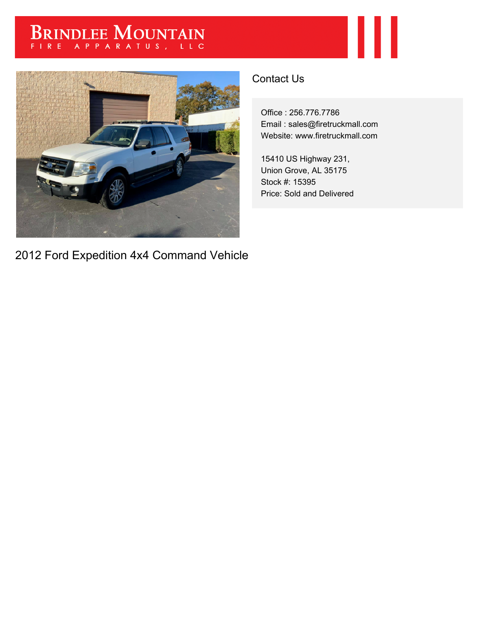## BRINDLEE MOUNTAIN



## 2012 Ford Expedition 4x4 Command Vehicle

## Contact Us

Office : 256.776.7786 Email : sales@firetruckmall.com Website: www.firetruckmall.com

Ш

15410 US Highway 231, Union Grove, AL 35175 Stock #: 15395 Price: Sold and Delivered